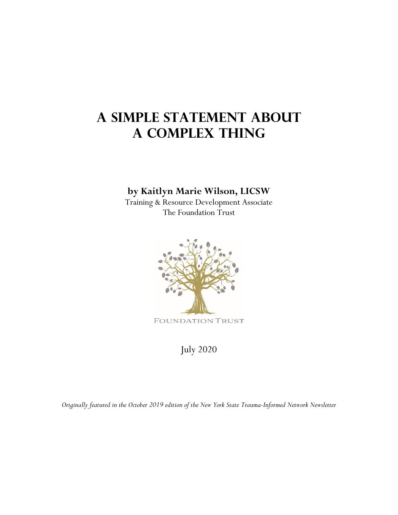## **A Simple Statement about a Complex Thing**

## **by Kaitlyn Marie Wilson, LICSW**

Training & Resource Development Associate The Foundation Trust



July 2020

*Originally featured in the October 2019 edition of the New York State Trauma-Informed Network Newsletter*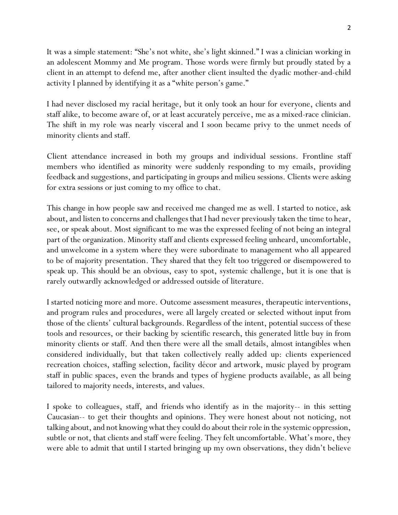It was a simple statement: "She's not white, she's light skinned." I was a clinician working in an adolescent Mommy and Me program. Those words were firmly but proudly stated by a client in an attempt to defend me, after another client insulted the dyadic mother-and-child activity I planned by identifying it as a "white person's game."

I had never disclosed my racial heritage, but it only took an hour for everyone, clients and staff alike, to become aware of, or at least accurately perceive, me as a mixed-race clinician. The shift in my role was nearly visceral and I soon became privy to the unmet needs of minority clients and staff.

Client attendance increased in both my groups and individual sessions. Frontline staff members who identified as minority were suddenly responding to my emails, providing feedback and suggestions, and participating in groups and milieu sessions. Clients were asking for extra sessions or just coming to my office to chat.

This change in how people saw and received me changed me as well. I started to notice, ask about, and listen to concerns and challenges that I had never previously taken the time to hear, see, or speak about. Most significant to me was the expressed feeling of not being an integral part of the organization. Minority staff and clients expressed feeling unheard, uncomfortable, and unwelcome in a system where they were subordinate to management who all appeared to be of majority presentation. They shared that they felt too triggered or disempowered to speak up. This should be an obvious, easy to spot, systemic challenge, but it is one that is rarely outwardly acknowledged or addressed outside of literature.

I started noticing more and more. Outcome assessment measures, therapeutic interventions, and program rules and procedures, were all largely created or selected without input from those of the clients' cultural backgrounds. Regardless of the intent, potential success of these tools and resources, or their backing by scientific research, this generated little buy in from minority clients or staff. And then there were all the small details, almost intangibles when considered individually, but that taken collectively really added up: clients experienced recreation choices, staffing selection, facility décor and artwork, music played by program staff in public spaces, even the brands and types of hygiene products available, as all being tailored to majority needs, interests, and values.

I spoke to colleagues, staff, and friends who identify as in the majority-- in this setting Caucasian-- to get their thoughts and opinions. They were honest about not noticing, not talking about, and not knowing what they could do about their role in the systemic oppression, subtle or not, that clients and staff were feeling. They felt uncomfortable. What's more, they were able to admit that until I started bringing up my own observations, they didn't believe